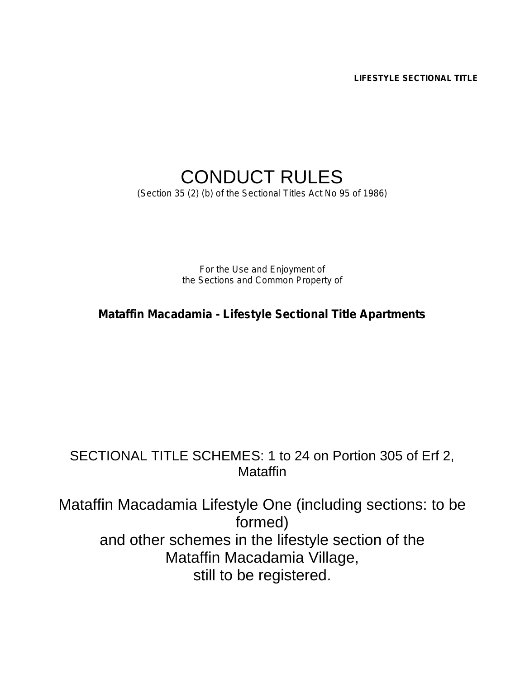*LIFESTYLE SECTIONAL TITLE*

# CONDUCT RULES

*(Section 35 (2) (b) of the Sectional Titles Act No 95 of 1986)*

*For the Use and Enjoyment of the Sections and Common Property of*

*Mataffin Macadamia - Lifestyle Sectional Title Apartments*

### SECTIONAL TITLE SCHEMES: 1 to 24 on Portion 305 of Erf 2, **Mataffin**

Mataffin Macadamia Lifestyle One (including sections: to be formed) and other schemes in the lifestyle section of the Mataffin Macadamia Village, still to be registered.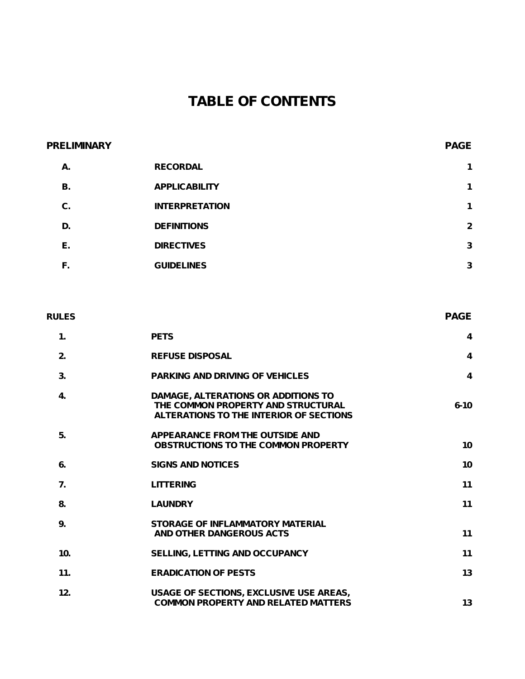## **TABLE OF CONTENTS**

# **PRELIMINARY PAGE A. RECORDAL 1 B. APPLICABILITY 1 C. INTERPRETATION 1 D. DEFINITIONS 2 E. DIRECTIVES 3 F. GUIDELINES 3**

# **RULES PAGE 1. PETS 4 2. REFUSE DISPOSAL 4 3. PARKING AND DRIVING OF VEHICLES 4 4. DAMAGE, ALTERATIONS OR ADDITIONS TO THE COMMON PROPERTY AND STRUCTURAL 6-10 ALTERATIONS TO THE INTERIOR OF SECTIONS 5. APPEARANCE FROM THE OUTSIDE AND OBSTRUCTIONS TO THE COMMON PROPERTY 10 6. SIGNS AND NOTICES 10 7. LITTERING 11 8. LAUNDRY 11 9. STORAGE OF INFLAMMATORY MATERIAL AND OTHER DANGEROUS ACTS 11 10. SELLING, LETTING AND OCCUPANCY 11 11. ERADICATION OF PESTS 13 12. USAGE OF SECTIONS, EXCLUSIVE USE AREAS, COMMON PROPERTY AND RELATED MATTERS 13**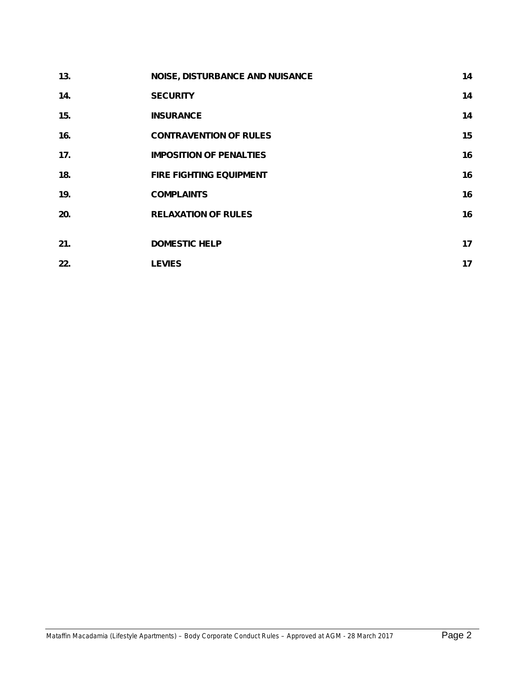| 13. | <b>NOISE, DISTURBANCE AND NUISANCE</b> | 14 |
|-----|----------------------------------------|----|
| 14. | <b>SECURITY</b>                        | 14 |
| 15. | <b>INSURANCE</b>                       | 14 |
| 16. | <b>CONTRAVENTION OF RULES</b>          | 15 |
| 17. | <b>IMPOSITION OF PENALTIES</b>         | 16 |
| 18. | <b>FIRE FIGHTING EQUIPMENT</b>         | 16 |
| 19. | <b>COMPLAINTS</b>                      | 16 |
| 20. | <b>RELAXATION OF RULES</b>             | 16 |
|     |                                        |    |
| 21. | <b>DOMESTIC HELP</b>                   | 17 |
| 22. | <b>LEVIES</b>                          | 17 |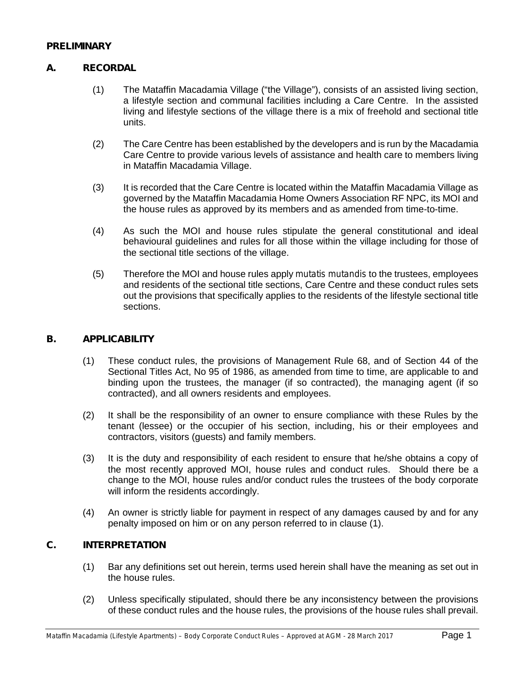#### **PRELIMINARY**

#### **A. RECORDAL**

- (1) The Mataffin Macadamia Village ("the Village"), consists of an assisted living section, a lifestyle section and communal facilities including a Care Centre. In the assisted living and lifestyle sections of the village there is a mix of freehold and sectional title units.
- (2) The Care Centre has been established by the developers and is run by the Macadamia Care Centre to provide various levels of assistance and health care to members living in Mataffin Macadamia Village.
- (3) It is recorded that the Care Centre is located within the Mataffin Macadamia Village as governed by the Mataffin Macadamia Home Owners Association RF NPC, its MOI and the house rules as approved by its members and as amended from time-to-time.
- (4) As such the MOI and house rules stipulate the general constitutional and ideal behavioural guidelines and rules for all those within the village including for those of the sectional title sections of the village.
- (5) Therefore the MOI and house rules apply *mutatis mutandis* to the trustees, employees and residents of the sectional title sections, Care Centre and these conduct rules sets out the provisions that specifically applies to the residents of the lifestyle sectional title sections.

#### **B. APPLICABILITY**

- (1) These conduct rules, the provisions of Management Rule 68, and of Section 44 of the Sectional Titles Act, No 95 of 1986, as amended from time to time, are applicable to and binding upon the trustees, the manager (if so contracted), the managing agent (if so contracted), and all owners residents and employees.
- (2) It shall be the responsibility of an owner to ensure compliance with these Rules by the tenant (lessee) or the occupier of his section, including, his or their employees and contractors, visitors (guests) and family members.
- (3) It is the duty and responsibility of each resident to ensure that he/she obtains a copy of the most recently approved MOI, house rules and conduct rules. Should there be a change to the MOI, house rules and/or conduct rules the trustees of the body corporate will inform the residents accordingly.
- (4) An owner is strictly liable for payment in respect of any damages caused by and for any penalty imposed on him or on any person referred to in clause (1).

#### **C. INTERPRETATION**

- (1) Bar any definitions set out herein, terms used herein shall have the meaning as set out in the house rules.
- (2) Unless specifically stipulated, should there be any inconsistency between the provisions of these conduct rules and the house rules, the provisions of the house rules shall prevail.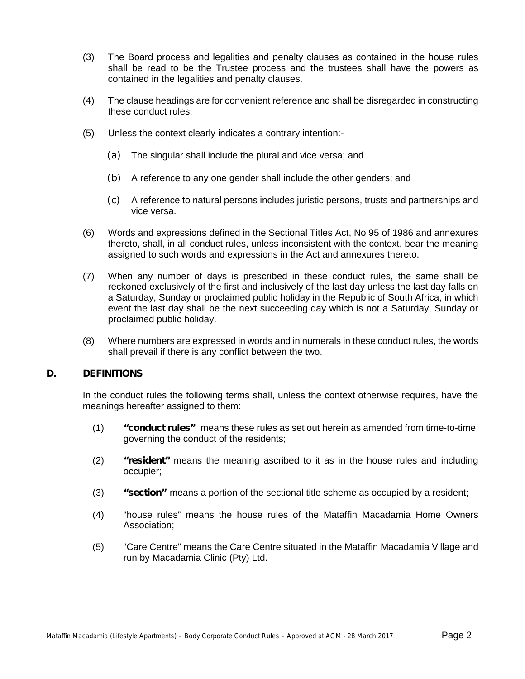- (3) The Board process and legalities and penalty clauses as contained in the house rules shall be read to be the Trustee process and the trustees shall have the powers as contained in the legalities and penalty clauses.
- (4) The clause headings are for convenient reference and shall be disregarded in constructing these conduct rules.
- (5) Unless the context clearly indicates a contrary intention:-
	- (a) The singular shall include the plural and vice versa; and
	- (b) A reference to any one gender shall include the other genders; and
	- (c) A reference to natural persons includes juristic persons, trusts and partnerships and vice versa.
- (6) Words and expressions defined in the Sectional Titles Act, No 95 of 1986 and annexures thereto, shall, in all conduct rules, unless inconsistent with the context, bear the meaning assigned to such words and expressions in the Act and annexures thereto.
- (7) When any number of days is prescribed in these conduct rules, the same shall be reckoned exclusively of the first and inclusively of the last day unless the last day falls on a Saturday, Sunday or proclaimed public holiday in the Republic of South Africa, in which event the last day shall be the next succeeding day which is not a Saturday, Sunday or proclaimed public holiday.
- (8) Where numbers are expressed in words and in numerals in these conduct rules, the words shall prevail if there is any conflict between the two.

#### **D. DEFINITIONS**

In the conduct rules the following terms shall, unless the context otherwise requires, have the meanings hereafter assigned to them:

- (1) **"conduct rules"** means these rules as set out herein as amended from time-to-time, governing the conduct of the residents;
- (2) **"resident"** means the meaning ascribed to it as in the house rules and including occupier;
- (3) **"section"** means a portion of the sectional title scheme as occupied by a resident;
- (4) "house rules" means the house rules of the Mataffin Macadamia Home Owners Association;
- (5) "Care Centre" means the Care Centre situated in the Mataffin Macadamia Village and run by Macadamia Clinic (Pty) Ltd.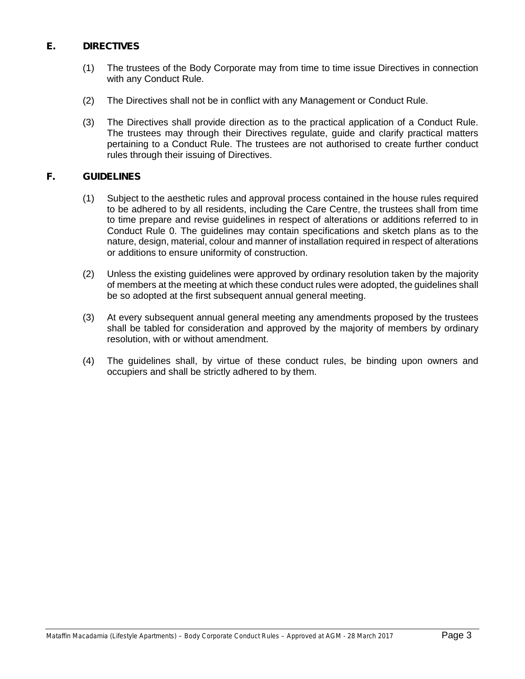#### **E. DIRECTIVES**

- (1) The trustees of the Body Corporate may from time to time issue Directives in connection with any Conduct Rule.
- (2) The Directives shall not be in conflict with any Management or Conduct Rule.
- (3) The Directives shall provide direction as to the practical application of a Conduct Rule. The trustees may through their Directives regulate, guide and clarify practical matters pertaining to a Conduct Rule. The trustees are not authorised to create further conduct rules through their issuing of Directives.

#### **F. GUIDELINES**

- (1) Subject to the aesthetic rules and approval process contained in the house rules required to be adhered to by all residents, including the Care Centre, the trustees shall from time to time prepare and revise guidelines in respect of alterations or additions referred to in Conduct Rule 0. The guidelines may contain specifications and sketch plans as to the nature, design, material, colour and manner of installation required in respect of alterations or additions to ensure uniformity of construction.
- (2) Unless the existing guidelines were approved by ordinary resolution taken by the majority of members at the meeting at which these conduct rules were adopted, the guidelines shall be so adopted at the first subsequent annual general meeting.
- (3) At every subsequent annual general meeting any amendments proposed by the trustees shall be tabled for consideration and approved by the majority of members by ordinary resolution, with or without amendment.
- (4) The guidelines shall, by virtue of these conduct rules, be binding upon owners and occupiers and shall be strictly adhered to by them.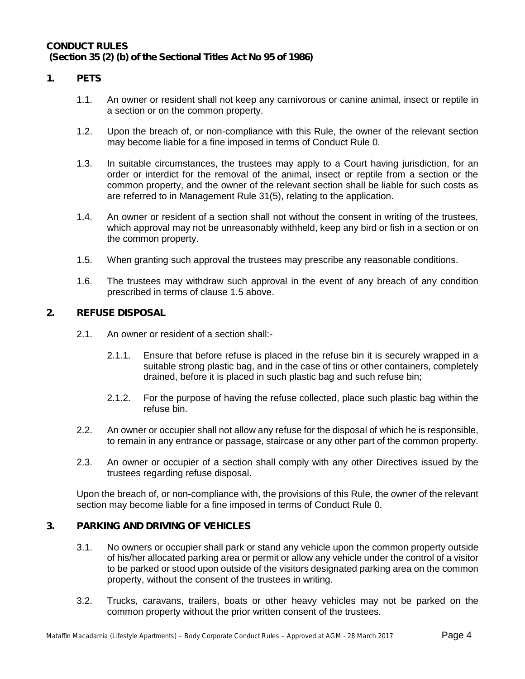#### **CONDUCT RULES (Section 35 (2) (b) of the Sectional Titles Act No 95 of 1986)**

#### **1. PETS**

- 1.1. An owner or resident shall not keep any carnivorous or canine animal, insect or reptile in a section or on the common property.
- 1.2. Upon the breach of, or non-compliance with this Rule, the owner of the relevant section may become liable for a fine imposed in terms of Conduct Rule 0.
- 1.3. In suitable circumstances, the trustees may apply to a Court having jurisdiction, for an order or interdict for the removal of the animal, insect or reptile from a section or the common property, and the owner of the relevant section shall be liable for such costs as are referred to in Management Rule 31(5), relating to the application.
- 1.4. An owner or resident of a section shall not without the consent in writing of the trustees, which approval may not be unreasonably withheld, keep any bird or fish in a section or on the common property.
- 1.5. When granting such approval the trustees may prescribe any reasonable conditions.
- 1.6. The trustees may withdraw such approval in the event of any breach of any condition prescribed in terms of clause 1.5 above.

#### **2. REFUSE DISPOSAL**

- 2.1. An owner or resident of a section shall:-
	- 2.1.1. Ensure that before refuse is placed in the refuse bin it is securely wrapped in a suitable strong plastic bag, and in the case of tins or other containers, completely drained, before it is placed in such plastic bag and such refuse bin;
	- 2.1.2. For the purpose of having the refuse collected, place such plastic bag within the refuse bin.
- 2.2. An owner or occupier shall not allow any refuse for the disposal of which he is responsible, to remain in any entrance or passage, staircase or any other part of the common property.
- 2.3. An owner or occupier of a section shall comply with any other Directives issued by the trustees regarding refuse disposal.

Upon the breach of, or non-compliance with, the provisions of this Rule, the owner of the relevant section may become liable for a fine imposed in terms of Conduct Rule 0.

#### **3. PARKING AND DRIVING OF VEHICLES**

- 3.1. No owners or occupier shall park or stand any vehicle upon the common property outside of his/her allocated parking area or permit or allow any vehicle under the control of a visitor to be parked or stood upon outside of the visitors designated parking area on the common property, without the consent of the trustees in writing.
- 3.2. Trucks, caravans, trailers, boats or other heavy vehicles may not be parked on the common property without the prior written consent of the trustees.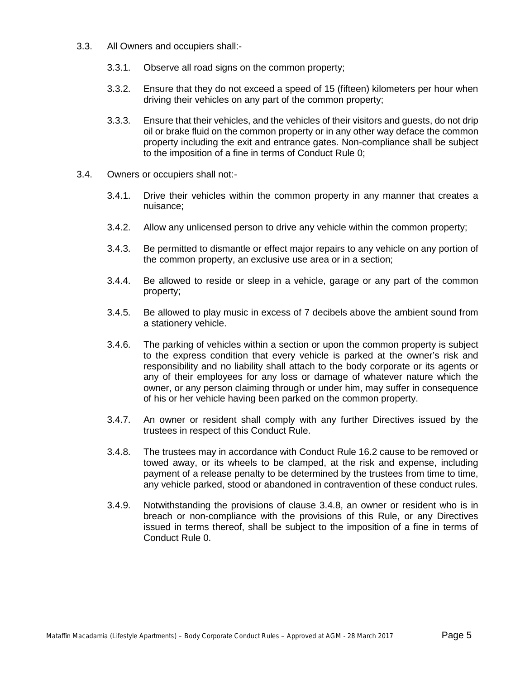- 3.3. All Owners and occupiers shall:-
	- 3.3.1. Observe all road signs on the common property;
	- 3.3.2. Ensure that they do not exceed a speed of 15 (fifteen) kilometers per hour when driving their vehicles on any part of the common property;
	- 3.3.3. Ensure that their vehicles, and the vehicles of their visitors and guests, do not drip oil or brake fluid on the common property or in any other way deface the common property including the exit and entrance gates. Non-compliance shall be subject to the imposition of a fine in terms of Conduct Rule 0;
- 3.4. Owners or occupiers shall not:-
	- 3.4.1. Drive their vehicles within the common property in any manner that creates a nuisance;
	- 3.4.2. Allow any unlicensed person to drive any vehicle within the common property;
	- 3.4.3. Be permitted to dismantle or effect major repairs to any vehicle on any portion of the common property, an exclusive use area or in a section;
	- 3.4.4. Be allowed to reside or sleep in a vehicle, garage or any part of the common property;
	- 3.4.5. Be allowed to play music in excess of 7 decibels above the ambient sound from a stationery vehicle.
	- 3.4.6. The parking of vehicles within a section or upon the common property is subject to the express condition that every vehicle is parked at the owner's risk and responsibility and no liability shall attach to the body corporate or its agents or any of their employees for any loss or damage of whatever nature which the owner, or any person claiming through or under him, may suffer in consequence of his or her vehicle having been parked on the common property.
	- 3.4.7. An owner or resident shall comply with any further Directives issued by the trustees in respect of this Conduct Rule.
	- 3.4.8. The trustees may in accordance with Conduct Rule 16.2 cause to be removed or towed away, or its wheels to be clamped, at the risk and expense, including payment of a release penalty to be determined by the trustees from time to time, any vehicle parked, stood or abandoned in contravention of these conduct rules.
	- 3.4.9. Notwithstanding the provisions of clause 3.4.8, an owner or resident who is in breach or non-compliance with the provisions of this Rule, or any Directives issued in terms thereof, shall be subject to the imposition of a fine in terms of Conduct Rule 0.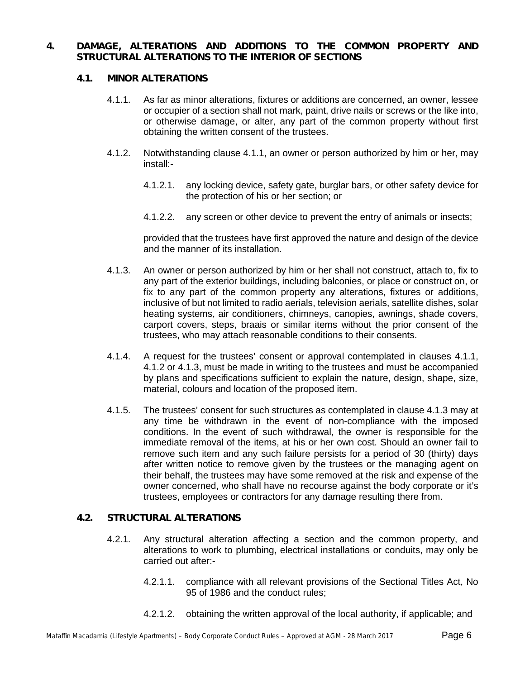#### **4. DAMAGE, ALTERATIONS AND ADDITIONS TO THE COMMON PROPERTY AND STRUCTURAL ALTERATIONS TO THE INTERIOR OF SECTIONS**

#### **4.1. MINOR ALTERATIONS**

- 4.1.1. As far as minor alterations, fixtures or additions are concerned, an owner, lessee or occupier of a section shall not mark, paint, drive nails or screws or the like into, or otherwise damage, or alter, any part of the common property without first obtaining the written consent of the trustees.
- 4.1.2. Notwithstanding clause 4.1.1, an owner or person authorized by him or her, may install:-
	- 4.1.2.1. any locking device, safety gate, burglar bars, or other safety device for the protection of his or her section; or
	- 4.1.2.2. any screen or other device to prevent the entry of animals or insects;

provided that the trustees have first approved the nature and design of the device and the manner of its installation.

- 4.1.3. An owner or person authorized by him or her shall not construct, attach to, fix to any part of the exterior buildings, including balconies, or place or construct on, or fix to any part of the common property any alterations, fixtures or additions, inclusive of but not limited to radio aerials, television aerials, satellite dishes, solar heating systems, air conditioners, chimneys, canopies, awnings, shade covers, carport covers, steps, braais or similar items without the prior consent of the trustees, who may attach reasonable conditions to their consents.
- 4.1.4. A request for the trustees' consent or approval contemplated in clauses 4.1.1, 4.1.2 or 4.1.3, must be made in writing to the trustees and must be accompanied by plans and specifications sufficient to explain the nature, design, shape, size, material, colours and location of the proposed item.
- 4.1.5. The trustees' consent for such structures as contemplated in clause 4.1.3 may at any time be withdrawn in the event of non-compliance with the imposed conditions. In the event of such withdrawal, the owner is responsible for the immediate removal of the items, at his or her own cost. Should an owner fail to remove such item and any such failure persists for a period of 30 (thirty) days after written notice to remove given by the trustees or the managing agent on their behalf, the trustees may have some removed at the risk and expense of the owner concerned, who shall have no recourse against the body corporate or it's trustees, employees or contractors for any damage resulting there from.

#### **4.2. STRUCTURAL ALTERATIONS**

- 4.2.1. Any structural alteration affecting a section and the common property, and alterations to work to plumbing, electrical installations or conduits, may only be carried out after:-
	- 4.2.1.1. compliance with all relevant provisions of the Sectional Titles Act, No 95 of 1986 and the conduct rules;
	- 4.2.1.2. obtaining the written approval of the local authority, if applicable; and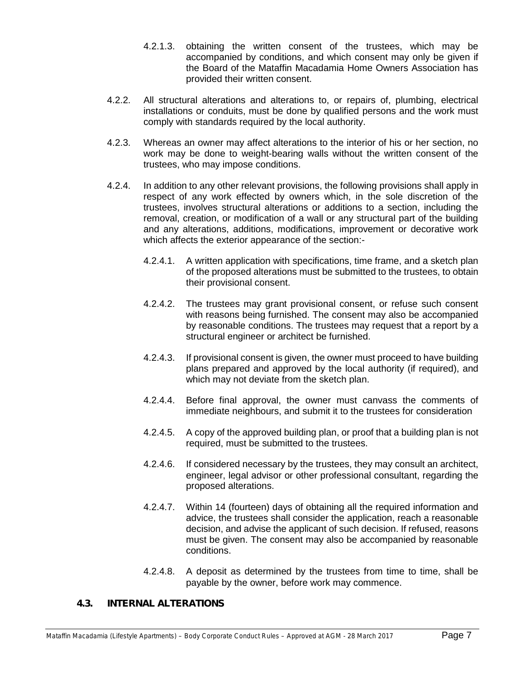- 4.2.1.3. obtaining the written consent of the trustees, which may be accompanied by conditions, and which consent may only be given if the Board of the Mataffin Macadamia Home Owners Association has provided their written consent.
- 4.2.2. All structural alterations and alterations to, or repairs of, plumbing, electrical installations or conduits, must be done by qualified persons and the work must comply with standards required by the local authority.
- 4.2.3. Whereas an owner may affect alterations to the interior of his or her section, no work may be done to weight-bearing walls without the written consent of the trustees, who may impose conditions.
- 4.2.4. In addition to any other relevant provisions, the following provisions shall apply in respect of any work effected by owners which, in the sole discretion of the trustees, involves structural alterations or additions to a section, including the removal, creation, or modification of a wall or any structural part of the building and any alterations, additions, modifications, improvement or decorative work which affects the exterior appearance of the section:-
	- 4.2.4.1. A written application with specifications, time frame, and a sketch plan of the proposed alterations must be submitted to the trustees, to obtain their provisional consent.
	- 4.2.4.2. The trustees may grant provisional consent, or refuse such consent with reasons being furnished. The consent may also be accompanied by reasonable conditions. The trustees may request that a report by a structural engineer or architect be furnished.
	- 4.2.4.3. If provisional consent is given, the owner must proceed to have building plans prepared and approved by the local authority (if required), and which may not deviate from the sketch plan.
	- 4.2.4.4. Before final approval, the owner must canvass the comments of immediate neighbours, and submit it to the trustees for consideration
	- 4.2.4.5. A copy of the approved building plan, or proof that a building plan is not required, must be submitted to the trustees.
	- 4.2.4.6. If considered necessary by the trustees, they may consult an architect, engineer, legal advisor or other professional consultant, regarding the proposed alterations.
	- 4.2.4.7. Within 14 (fourteen) days of obtaining all the required information and advice, the trustees shall consider the application, reach a reasonable decision, and advise the applicant of such decision. If refused, reasons must be given. The consent may also be accompanied by reasonable conditions.
	- 4.2.4.8. A deposit as determined by the trustees from time to time, shall be payable by the owner, before work may commence.

#### **4.3. INTERNAL ALTERATIONS**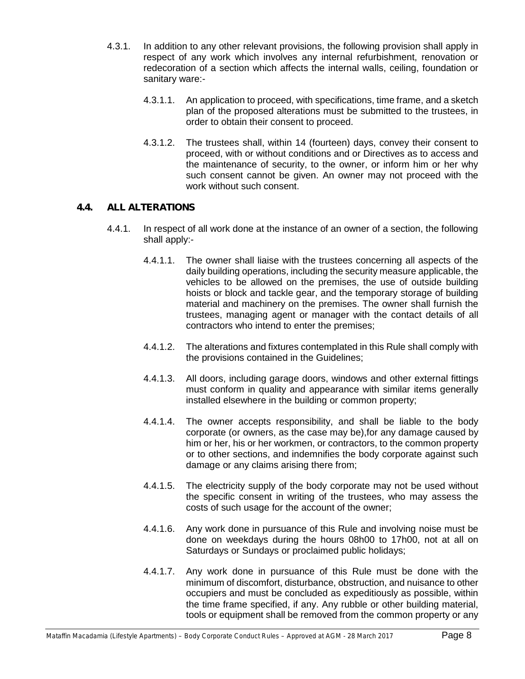- 4.3.1. In addition to any other relevant provisions, the following provision shall apply in respect of any work which involves any internal refurbishment, renovation or redecoration of a section which affects the internal walls, ceiling, foundation or sanitary ware:-
	- 4.3.1.1. An application to proceed, with specifications, time frame, and a sketch plan of the proposed alterations must be submitted to the trustees, in order to obtain their consent to proceed.
	- 4.3.1.2. The trustees shall, within 14 (fourteen) days, convey their consent to proceed, with or without conditions and or Directives as to access and the maintenance of security, to the owner, or inform him or her why such consent cannot be given. An owner may not proceed with the work without such consent.

#### **4.4. ALL ALTERATIONS**

- 4.4.1. In respect of all work done at the instance of an owner of a section, the following shall apply:-
	- 4.4.1.1. The owner shall liaise with the trustees concerning all aspects of the daily building operations, including the security measure applicable, the vehicles to be allowed on the premises, the use of outside building hoists or block and tackle gear, and the temporary storage of building material and machinery on the premises. The owner shall furnish the trustees, managing agent or manager with the contact details of all contractors who intend to enter the premises;
	- 4.4.1.2. The alterations and fixtures contemplated in this Rule shall comply with the provisions contained in the Guidelines;
	- 4.4.1.3. All doors, including garage doors, windows and other external fittings must conform in quality and appearance with similar items generally installed elsewhere in the building or common property;
	- 4.4.1.4. The owner accepts responsibility, and shall be liable to the body corporate (or owners, as the case may be),for any damage caused by him or her, his or her workmen, or contractors, to the common property or to other sections, and indemnifies the body corporate against such damage or any claims arising there from;
	- 4.4.1.5. The electricity supply of the body corporate may not be used without the specific consent in writing of the trustees, who may assess the costs of such usage for the account of the owner;
	- 4.4.1.6. Any work done in pursuance of this Rule and involving noise must be done on weekdays during the hours 08h00 to 17h00, not at all on Saturdays or Sundays or proclaimed public holidays;
	- 4.4.1.7. Any work done in pursuance of this Rule must be done with the minimum of discomfort, disturbance, obstruction, and nuisance to other occupiers and must be concluded as expeditiously as possible, within the time frame specified, if any. Any rubble or other building material, tools or equipment shall be removed from the common property or any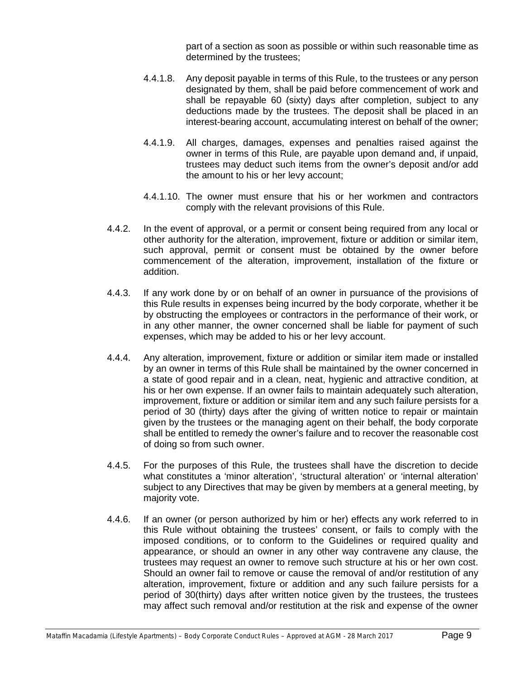part of a section as soon as possible or within such reasonable time as determined by the trustees;

- 4.4.1.8. Any deposit payable in terms of this Rule, to the trustees or any person designated by them, shall be paid before commencement of work and shall be repayable 60 (sixty) days after completion, subject to any deductions made by the trustees. The deposit shall be placed in an interest-bearing account, accumulating interest on behalf of the owner;
- 4.4.1.9. All charges, damages, expenses and penalties raised against the owner in terms of this Rule, are payable upon demand and, if unpaid, trustees may deduct such items from the owner's deposit and/or add the amount to his or her levy account;
- 4.4.1.10. The owner must ensure that his or her workmen and contractors comply with the relevant provisions of this Rule.
- 4.4.2. In the event of approval, or a permit or consent being required from any local or other authority for the alteration, improvement, fixture or addition or similar item, such approval, permit or consent must be obtained by the owner before commencement of the alteration, improvement, installation of the fixture or addition.
- 4.4.3. If any work done by or on behalf of an owner in pursuance of the provisions of this Rule results in expenses being incurred by the body corporate, whether it be by obstructing the employees or contractors in the performance of their work, or in any other manner, the owner concerned shall be liable for payment of such expenses, which may be added to his or her levy account.
- 4.4.4. Any alteration, improvement, fixture or addition or similar item made or installed by an owner in terms of this Rule shall be maintained by the owner concerned in a state of good repair and in a clean, neat, hygienic and attractive condition, at his or her own expense. If an owner fails to maintain adequately such alteration, improvement, fixture or addition or similar item and any such failure persists for a period of 30 (thirty) days after the giving of written notice to repair or maintain given by the trustees or the managing agent on their behalf, the body corporate shall be entitled to remedy the owner's failure and to recover the reasonable cost of doing so from such owner.
- 4.4.5. For the purposes of this Rule, the trustees shall have the discretion to decide what constitutes a 'minor alteration', 'structural alteration' or 'internal alteration' subject to any Directives that may be given by members at a general meeting, by majority vote.
- 4.4.6. If an owner (or person authorized by him or her) effects any work referred to in this Rule without obtaining the trustees' consent, or fails to comply with the imposed conditions, or to conform to the Guidelines or required quality and appearance, or should an owner in any other way contravene any clause, the trustees may request an owner to remove such structure at his or her own cost. Should an owner fail to remove or cause the removal of and/or restitution of any alteration, improvement, fixture or addition and any such failure persists for a period of 30(thirty) days after written notice given by the trustees, the trustees may affect such removal and/or restitution at the risk and expense of the owner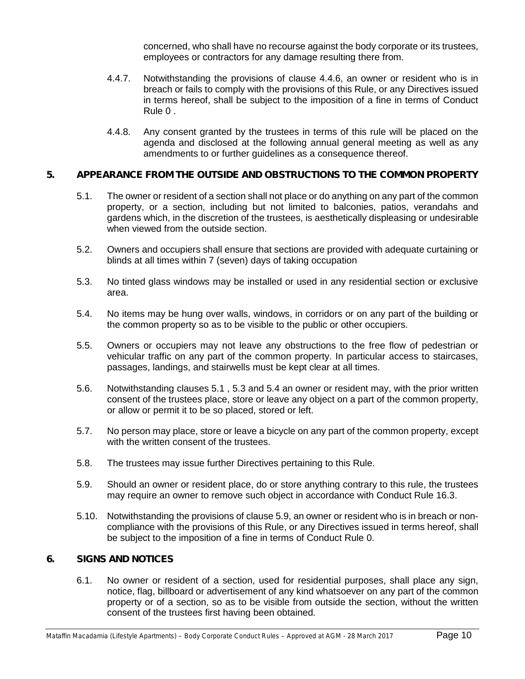concerned, who shall have no recourse against the body corporate or its trustees, employees or contractors for any damage resulting there from.

- 4.4.7. Notwithstanding the provisions of clause 4.4.6, an owner or resident who is in breach or fails to comply with the provisions of this Rule, or any Directives issued in terms hereof, shall be subject to the imposition of a fine in terms of Conduct Rule 0 .
- 4.4.8. Any consent granted by the trustees in terms of this rule will be placed on the agenda and disclosed at the following annual general meeting as well as any amendments to or further guidelines as a consequence thereof.

#### **5. APPEARANCE FROM THE OUTSIDE AND OBSTRUCTIONS TO THE COMMON PROPERTY**

- 5.1. The owner or resident of a section shall not place or do anything on any part of the common property, or a section, including but not limited to balconies, patios, verandahs and gardens which, in the discretion of the trustees, is aesthetically displeasing or undesirable when viewed from the outside section.
- 5.2. Owners and occupiers shall ensure that sections are provided with adequate curtaining or blinds at all times within 7 (seven) days of taking occupation
- 5.3. No tinted glass windows may be installed or used in any residential section or exclusive area.
- 5.4. No items may be hung over walls, windows, in corridors or on any part of the building or the common property so as to be visible to the public or other occupiers.
- 5.5. Owners or occupiers may not leave any obstructions to the free flow of pedestrian or vehicular traffic on any part of the common property. In particular access to staircases, passages, landings, and stairwells must be kept clear at all times.
- 5.6. Notwithstanding clauses 5.1 , 5.3 and 5.4 an owner or resident may, with the prior written consent of the trustees place, store or leave any object on a part of the common property, or allow or permit it to be so placed, stored or left.
- 5.7. No person may place, store or leave a bicycle on any part of the common property, except with the written consent of the trustees.
- 5.8. The trustees may issue further Directives pertaining to this Rule.
- 5.9. Should an owner or resident place, do or store anything contrary to this rule, the trustees may require an owner to remove such object in accordance with Conduct Rule 16.3.
- 5.10. Notwithstanding the provisions of clause 5.9, an owner or resident who is in breach or non compliance with the provisions of this Rule, or any Directives issued in terms hereof, shall be subject to the imposition of a fine in terms of Conduct Rule 0.

#### **6. SIGNS AND NOTICES**

6.1. No owner or resident of a section, used for residential purposes, shall place any sign, notice, flag, billboard or advertisement of any kind whatsoever on any part of the common property or of a section, so as to be visible from outside the section, without the written consent of the trustees first having been obtained.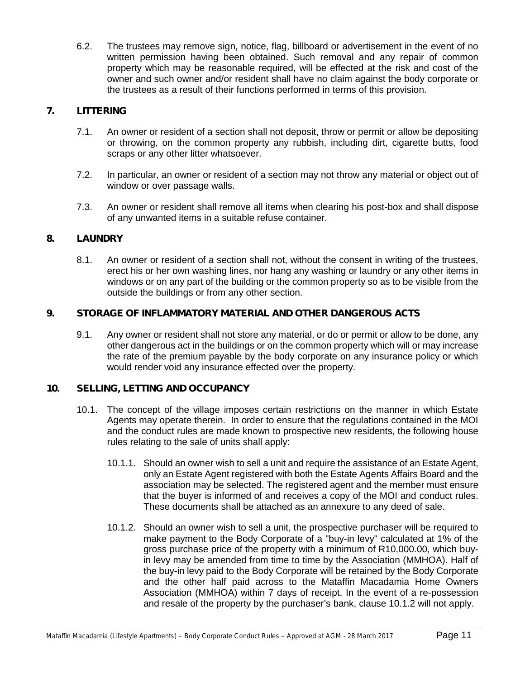6.2. The trustees may remove sign, notice, flag, billboard or advertisement in the event of no written permission having been obtained. Such removal and any repair of common property which may be reasonable required, will be effected at the risk and cost of the owner and such owner and/or resident shall have no claim against the body corporate or the trustees as a result of their functions performed in terms of this provision.

#### **7. LITTERING**

- 7.1. An owner or resident of a section shall not deposit, throw or permit or allow be depositing or throwing, on the common property any rubbish, including dirt, cigarette butts, food scraps or any other litter whatsoever.
- 7.2. In particular, an owner or resident of a section may not throw any material or object out of window or over passage walls.
- 7.3. An owner or resident shall remove all items when clearing his post-box and shall dispose of any unwanted items in a suitable refuse container.

#### **8. LAUNDRY**

8.1. An owner or resident of a section shall not, without the consent in writing of the trustees, erect his or her own washing lines, nor hang any washing or laundry or any other items in windows or on any part of the building or the common property so as to be visible from the outside the buildings or from any other section.

#### **9. STORAGE OF INFLAMMATORY MATERIAL AND OTHER DANGEROUS ACTS**

9.1. Any owner or resident shall not store any material, or do or permit or allow to be done, any other dangerous act in the buildings or on the common property which will or may increase the rate of the premium payable by the body corporate on any insurance policy or which would render void any insurance effected over the property.

#### **10. SELLING, LETTING AND OCCUPANCY**

- 10.1. The concept of the village imposes certain restrictions on the manner in which Estate Agents may operate therein. In order to ensure that the regulations contained in the MOI and the conduct rules are made known to prospective new residents, the following house rules relating to the sale of units shall apply:
	- 10.1.1. Should an owner wish to sell a unit and require the assistance of an Estate Agent, only an Estate Agent registered with both the Estate Agents Affairs Board and the association may be selected. The registered agent and the member must ensure that the buyer is informed of and receives a copy of the MOI and conduct rules. These documents shall be attached as an annexure to any deed of sale.
	- 10.1.2. Should an owner wish to sell a unit, the prospective purchaser will be required to make payment to the Body Corporate of a "buy-in levy" calculated at 1% of the gross purchase price of the property with a minimum of R10,000.00, which buyin levy may be amended from time to time by the Association (MMHOA). Half of the buy-in levy paid to the Body Corporate will be retained by the Body Corporate and the other half paid across to the Mataffin Macadamia Home Owners Association (MMHOA) within 7 days of receipt. In the event of a re-possession and resale of the property by the purchaser's bank, clause 10.1.2 will not apply.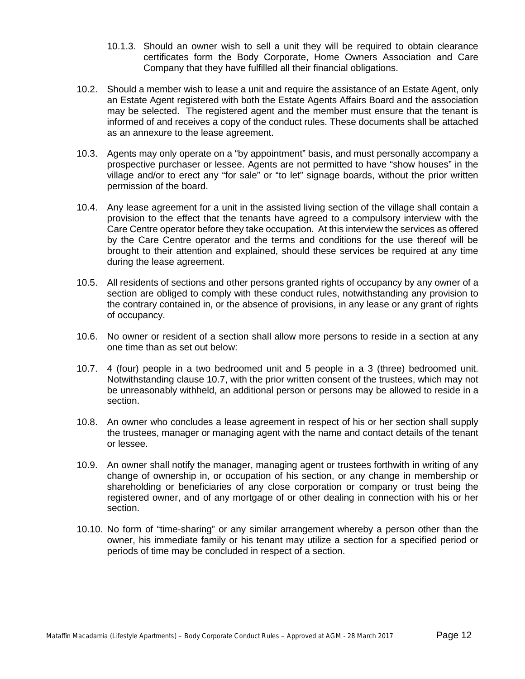- 10.1.3. Should an owner wish to sell a unit they will be required to obtain clearance certificates form the Body Corporate, Home Owners Association and Care Company that they have fulfilled all their financial obligations.
- 10.2. Should a member wish to lease a unit and require the assistance of an Estate Agent, only an Estate Agent registered with both the Estate Agents Affairs Board and the association may be selected. The registered agent and the member must ensure that the tenant is informed of and receives a copy of the conduct rules. These documents shall be attached as an annexure to the lease agreement.
- 10.3. Agents may only operate on a "by appointment" basis, and must personally accompany a prospective purchaser or lessee. Agents are not permitted to have "show houses" in the village and/or to erect any "for sale" or "to let" signage boards, without the prior written permission of the board.
- 10.4. Any lease agreement for a unit in the assisted living section of the village shall contain a provision to the effect that the tenants have agreed to a compulsory interview with the Care Centre operator before they take occupation. At this interview the services as offered by the Care Centre operator and the terms and conditions for the use thereof will be brought to their attention and explained, should these services be required at any time during the lease agreement.
- 10.5. All residents of sections and other persons granted rights of occupancy by any owner of a section are obliged to comply with these conduct rules, notwithstanding any provision to the contrary contained in, or the absence of provisions, in any lease or any grant of rights of occupancy.
- 10.6. No owner or resident of a section shall allow more persons to reside in a section at any one time than as set out below:
- 10.7. 4 (four) people in a two bedroomed unit and 5 people in a 3 (three) bedroomed unit. Notwithstanding clause 10.7, with the prior written consent of the trustees, which may not be unreasonably withheld, an additional person or persons may be allowed to reside in a section.
- 10.8. An owner who concludes a lease agreement in respect of his or her section shall supply the trustees, manager or managing agent with the name and contact details of the tenant or lessee.
- 10.9. An owner shall notify the manager, managing agent or trustees forthwith in writing of any change of ownership in, or occupation of his section, or any change in membership or shareholding or beneficiaries of any close corporation or company or trust being the registered owner, and of any mortgage of or other dealing in connection with his or her section.
- 10.10. No form of "time-sharing" or any similar arrangement whereby a person other than the owner, his immediate family or his tenant may utilize a section for a specified period or periods of time may be concluded in respect of a section.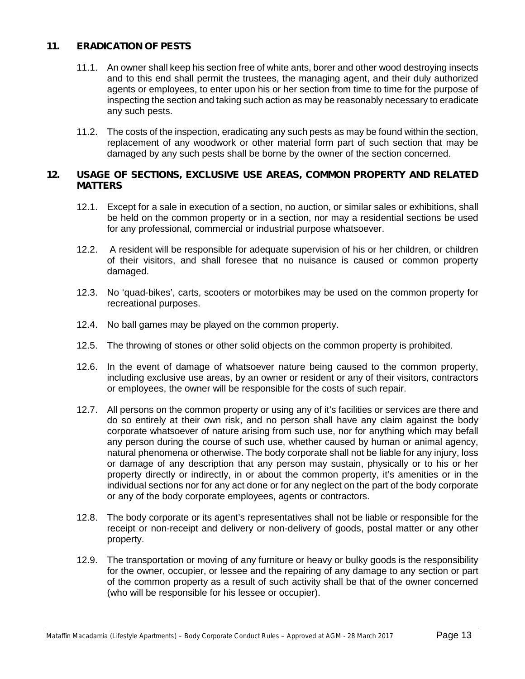#### **11. ERADICATION OF PESTS**

- 11.1. An owner shall keep his section free of white ants, borer and other wood destroying insects and to this end shall permit the trustees, the managing agent, and their duly authorized agents or employees, to enter upon his or her section from time to time for the purpose of inspecting the section and taking such action as may be reasonably necessary to eradicate any such pests.
- 11.2. The costs of the inspection, eradicating any such pests as may be found within the section, replacement of any woodwork or other material form part of such section that may be damaged by any such pests shall be borne by the owner of the section concerned.

#### **12. USAGE OF SECTIONS, EXCLUSIVE USE AREAS, COMMON PROPERTY AND RELATED MATTERS**

- 12.1. Except for a sale in execution of a section, no auction, or similar sales or exhibitions, shall be held on the common property or in a section, nor may a residential sections be used for any professional, commercial or industrial purpose whatsoever.
- 12.2. A resident will be responsible for adequate supervision of his or her children, or children of their visitors, and shall foresee that no nuisance is caused or common property damaged.
- 12.3. No 'quad-bikes', carts, scooters or motorbikes may be used on the common property for recreational purposes.
- 12.4. No ball games may be played on the common property.
- 12.5. The throwing of stones or other solid objects on the common property is prohibited.
- 12.6. In the event of damage of whatsoever nature being caused to the common property, including exclusive use areas, by an owner or resident or any of their visitors, contractors or employees, the owner will be responsible for the costs of such repair.
- 12.7. All persons on the common property or using any of it's facilities or services are there and do so entirely at their own risk, and no person shall have any claim against the body corporate whatsoever of nature arising from such use, nor for anything which may befall any person during the course of such use, whether caused by human or animal agency, natural phenomena or otherwise. The body corporate shall not be liable for any injury, loss or damage of any description that any person may sustain, physically or to his or her property directly or indirectly, in or about the common property, it's amenities or in the individual sections nor for any act done or for any neglect on the part of the body corporate or any of the body corporate employees, agents or contractors.
- 12.8. The body corporate or its agent's representatives shall not be liable or responsible for the receipt or non-receipt and delivery or non-delivery of goods, postal matter or any other property.
- 12.9. The transportation or moving of any furniture or heavy or bulky goods is the responsibility for the owner, occupier, or lessee and the repairing of any damage to any section or part of the common property as a result of such activity shall be that of the owner concerned (who will be responsible for his lessee or occupier).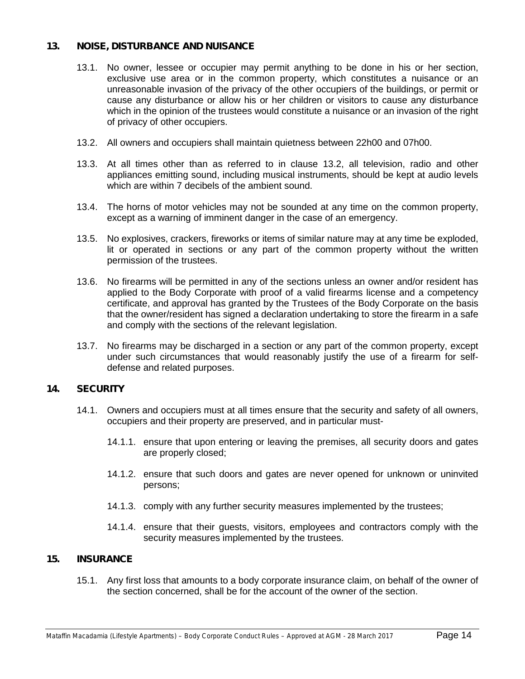#### **13. NOISE, DISTURBANCE AND NUISANCE**

- 13.1. No owner, lessee or occupier may permit anything to be done in his or her section, exclusive use area or in the common property, which constitutes a nuisance or an unreasonable invasion of the privacy of the other occupiers of the buildings, or permit or cause any disturbance or allow his or her children or visitors to cause any disturbance which in the opinion of the trustees would constitute a nuisance or an invasion of the right of privacy of other occupiers.
- 13.2. All owners and occupiers shall maintain quietness between 22h00 and 07h00.
- 13.3. At all times other than as referred to in clause 13.2, all television, radio and other appliances emitting sound, including musical instruments, should be kept at audio levels which are within 7 decibels of the ambient sound.
- 13.4. The horns of motor vehicles may not be sounded at any time on the common property, except as a warning of imminent danger in the case of an emergency.
- 13.5. No explosives, crackers, fireworks or items of similar nature may at any time be exploded, lit or operated in sections or any part of the common property without the written permission of the trustees.
- 13.6. No firearms will be permitted in any of the sections unless an owner and/or resident has applied to the Body Corporate with proof of a valid firearms license and a competency certificate, and approval has granted by the Trustees of the Body Corporate on the basis that the owner/resident has signed a declaration undertaking to store the firearm in a safe and comply with the sections of the relevant legislation.
- 13.7. No firearms may be discharged in a section or any part of the common property, except under such circumstances that would reasonably justify the use of a firearm for self defense and related purposes.

#### **14. SECURITY**

- 14.1. Owners and occupiers must at all times ensure that the security and safety of all owners, occupiers and their property are preserved, and in particular must-
	- 14.1.1. ensure that upon entering or leaving the premises, all security doors and gates are properly closed;
	- 14.1.2. ensure that such doors and gates are never opened for unknown or uninvited persons;
	- 14.1.3. comply with any further security measures implemented by the trustees;
	- 14.1.4. ensure that their guests, visitors, employees and contractors comply with the security measures implemented by the trustees.

#### **15. INSURANCE**

15.1. Any first loss that amounts to a body corporate insurance claim, on behalf of the owner of the section concerned, shall be for the account of the owner of the section.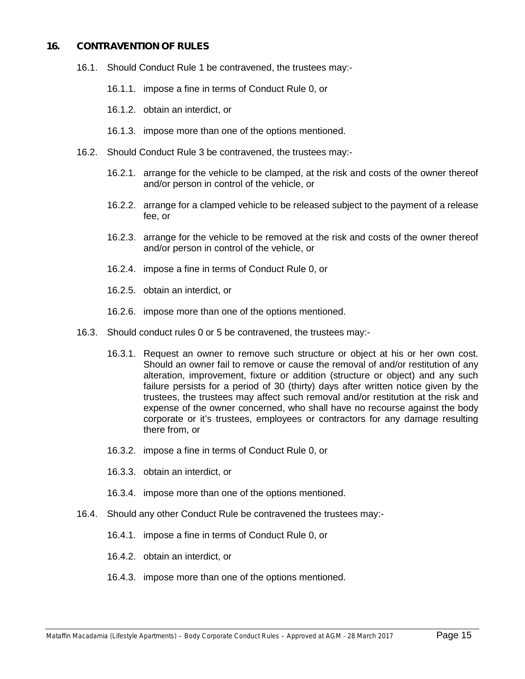#### **16. CONTRAVENTION OF RULES**

- 16.1. Should Conduct Rule 1 be contravened, the trustees may:-
	- 16.1.1. impose a fine in terms of Conduct Rule 0, or
	- 16.1.2. obtain an interdict, or
	- 16.1.3. impose more than one of the options mentioned.
- 16.2. Should Conduct Rule 3 be contravened, the trustees may:-
	- 16.2.1. arrange for the vehicle to be clamped, at the risk and costs of the owner thereof and/or person in control of the vehicle, or
	- 16.2.2. arrange for a clamped vehicle to be released subject to the payment of a release fee, or
	- 16.2.3. arrange for the vehicle to be removed at the risk and costs of the owner thereof and/or person in control of the vehicle, or
	- 16.2.4. impose a fine in terms of Conduct Rule 0, or
	- 16.2.5. obtain an interdict, or
	- 16.2.6. impose more than one of the options mentioned.
- 16.3. Should conduct rules 0 or 5 be contravened, the trustees may:-
	- 16.3.1. Request an owner to remove such structure or object at his or her own cost. Should an owner fail to remove or cause the removal of and/or restitution of any alteration, improvement, fixture or addition (structure or object) and any such failure persists for a period of 30 (thirty) days after written notice given by the trustees, the trustees may affect such removal and/or restitution at the risk and expense of the owner concerned, who shall have no recourse against the body corporate or it's trustees, employees or contractors for any damage resulting there from, or
	- 16.3.2. impose a fine in terms of Conduct Rule 0, or
	- 16.3.3. obtain an interdict, or
	- 16.3.4. impose more than one of the options mentioned.
- 16.4. Should any other Conduct Rule be contravened the trustees may:-
	- 16.4.1. impose a fine in terms of Conduct Rule 0, or
	- 16.4.2. obtain an interdict, or
	- 16.4.3. impose more than one of the options mentioned.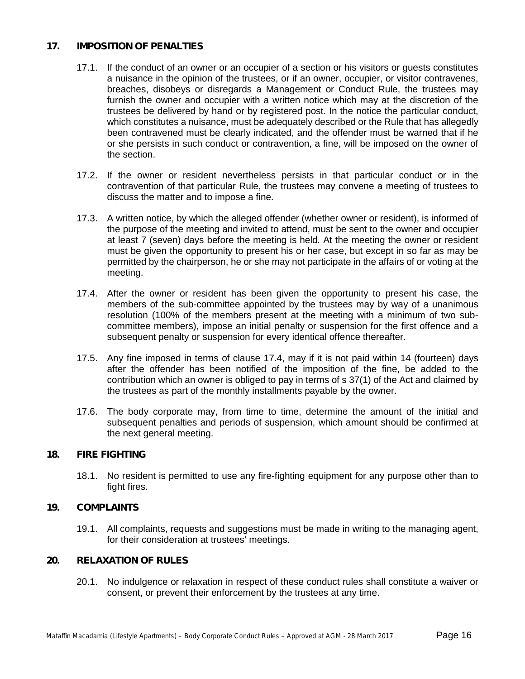#### **17. IMPOSITION OF PENALTIES**

- 17.1. If the conduct of an owner or an occupier of a section or his visitors or guests constitutes a nuisance in the opinion of the trustees, or if an owner, occupier, or visitor contravenes, breaches, disobeys or disregards a Management or Conduct Rule, the trustees may furnish the owner and occupier with a written notice which may at the discretion of the trustees be delivered by hand or by registered post. In the notice the particular conduct, which constitutes a nuisance, must be adequately described or the Rule that has allegedly been contravened must be clearly indicated, and the offender must be warned that if he or she persists in such conduct or contravention, a fine, will be imposed on the owner of the section.
- 17.2. If the owner or resident nevertheless persists in that particular conduct or in the contravention of that particular Rule, the trustees may convene a meeting of trustees to discuss the matter and to impose a fine.
- 17.3. A written notice, by which the alleged offender (whether owner or resident), is informed of the purpose of the meeting and invited to attend, must be sent to the owner and occupier at least 7 (seven) days before the meeting is held. At the meeting the owner or resident must be given the opportunity to present his or her case, but except in so far as may be permitted by the chairperson, he or she may not participate in the affairs of or voting at the meeting.
- 17.4. After the owner or resident has been given the opportunity to present his case, the members of the sub-committee appointed by the trustees may by way of a unanimous resolution (100% of the members present at the meeting with a minimum of two sub committee members), impose an initial penalty or suspension for the first offence and a subsequent penalty or suspension for every identical offence thereafter.
- 17.5. Any fine imposed in terms of clause 17.4, may if it is not paid within 14 (fourteen) days after the offender has been notified of the imposition of the fine, be added to the contribution which an owner is obliged to pay in terms of s 37(1) of the Act and claimed by the trustees as part of the monthly installments payable by the owner.
- 17.6. The body corporate may, from time to time, determine the amount of the initial and subsequent penalties and periods of suspension, which amount should be confirmed at the next general meeting.

#### **18. FIRE FIGHTING**

18.1. No resident is permitted to use any fire-fighting equipment for any purpose other than to fight fires.

#### **19. COMPLAINTS**

19.1. All complaints, requests and suggestions must be made in writing to the managing agent, for their consideration at trustees' meetings.

#### **20. RELAXATION OF RULES**

20.1. No indulgence or relaxation in respect of these conduct rules shall constitute a waiver or consent, or prevent their enforcement by the trustees at any time.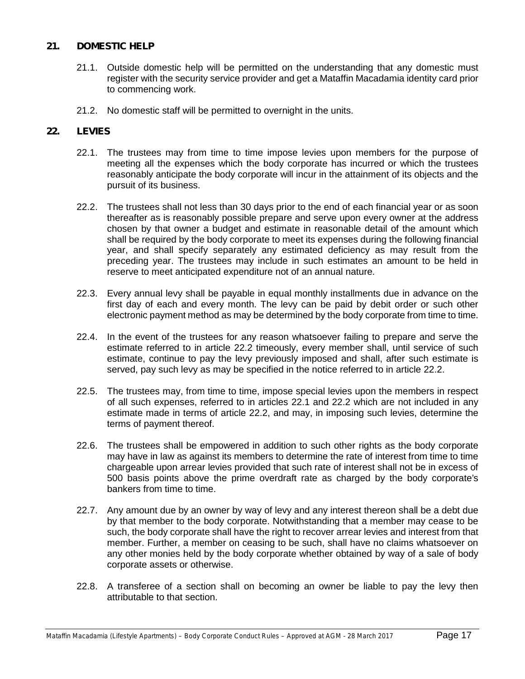#### **21. DOMESTIC HELP**

- 21.1. Outside domestic help will be permitted on the understanding that any domestic must register with the security service provider and get a Mataffin Macadamia identity card prior to commencing work.
- 21.2. No domestic staff will be permitted to overnight in the units.

#### **22. LEVIES**

- 22.1. The trustees may from time to time impose levies upon members for the purpose of meeting all the expenses which the body corporate has incurred or which the trustees reasonably anticipate the body corporate will incur in the attainment of its objects and the pursuit of its business.
- 22.2. The trustees shall not less than 30 days prior to the end of each financial year or as soon thereafter as is reasonably possible prepare and serve upon every owner at the address chosen by that owner a budget and estimate in reasonable detail of the amount which shall be required by the body corporate to meet its expenses during the following financial year, and shall specify separately any estimated deficiency as may result from the preceding year. The trustees may include in such estimates an amount to be held in reserve to meet anticipated expenditure not of an annual nature.
- 22.3. Every annual levy shall be payable in equal monthly installments due in advance on the first day of each and every month. The levy can be paid by debit order or such other electronic payment method as may be determined by the body corporate from time to time.
- 22.4. In the event of the trustees for any reason whatsoever failing to prepare and serve the estimate referred to in article 22.2 timeously, every member shall, until service of such estimate, continue to pay the levy previously imposed and shall, after such estimate is served, pay such levy as may be specified in the notice referred to in article 22.2.
- 22.5. The trustees may, from time to time, impose special levies upon the members in respect of all such expenses, referred to in articles 22.1 and 22.2 which are not included in any estimate made in terms of article 22.2, and may, in imposing such levies, determine the terms of payment thereof.
- 22.6. The trustees shall be empowered in addition to such other rights as the body corporate may have in law as against its members to determine the rate of interest from time to time chargeable upon arrear levies provided that such rate of interest shall not be in excess of 500 basis points above the prime overdraft rate as charged by the body corporate's bankers from time to time.
- 22.7. Any amount due by an owner by way of levy and any interest thereon shall be a debt due by that member to the body corporate. Notwithstanding that a member may cease to be such, the body corporate shall have the right to recover arrear levies and interest from that member. Further, a member on ceasing to be such, shall have no claims whatsoever on any other monies held by the body corporate whether obtained by way of a sale of body corporate assets or otherwise.
- 22.8. A transferee of a section shall on becoming an owner be liable to pay the levy then attributable to that section.